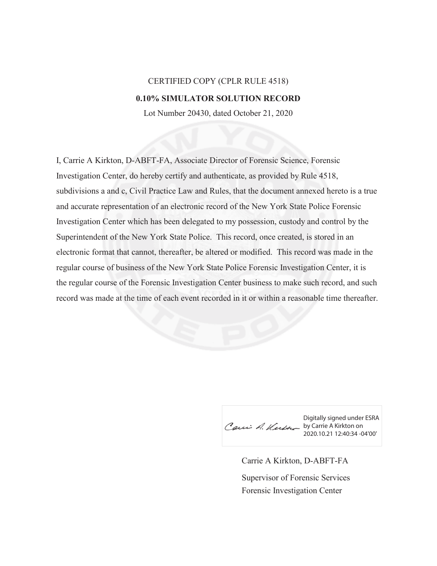## CERTIFIED COPY (CPLR RULE 4518) **0.10% SIMULATOR SOLUTION RECORD**

Lot Number 20430, dated October 21, 2020

I, Carrie A Kirkton, D-ABFT-FA, Associate Director of Forensic Science, Forensic Investigation Center, do hereby certify and authenticate, as provided by Rule 4518, subdivisions a and c, Civil Practice Law and Rules, that the document annexed hereto is a true and accurate representation of an electronic record of the New York State Police Forensic Investigation Center which has been delegated to my possession, custody and control by the Superintendent of the New York State Police. This record, once created, is stored in an electronic format that cannot, thereafter, be altered or modified. This record was made in the regular course of business of the New York State Police Forensic Investigation Center, it is the regular course of the Forensic Investigation Center business to make such record, and such record was made at the time of each event recorded in it or within a reasonable time thereafter.

Digitally signed under ESRA Caui A. Kutte by Carrie A Kirkton on 2020.10.21 12:40:34 -04'00'

Carrie A Kirkton, D-ABFT-FA Forensic Investigation Center Supervisor of Forensic Services